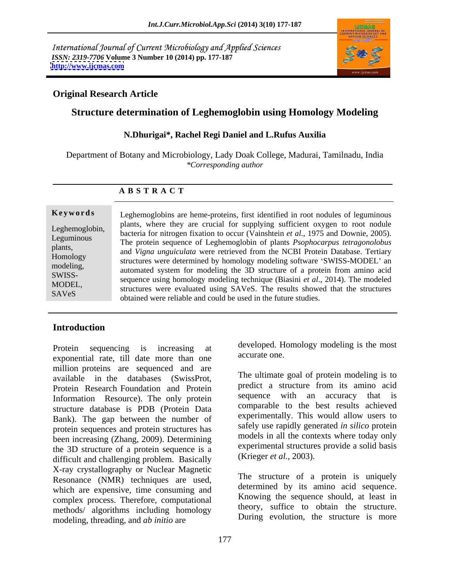International Journal of Current Microbiology and Applied Sciences *ISSN: 2319-7706* **Volume 3 Number 10 (2014) pp. 177-187 <http://www.ijcmas.com>**



### **Original Research Article**

# **Structure determination of Leghemoglobin using Homology Modeling**

### **N.Dhurigai\*, Rachel Regi Daniel and L.Rufus Auxilia**

Department of Botany and Microbiology, Lady Doak College, Madurai, Tamilnadu, India *\*Corresponding author* 

### **A B S T R A C T**

**Keywords** Leghemoglobins are heme-proteins, first identified in root nodules of leguminous Leghemoglobin, bacteria for nitrogen fixation to occur (Vainshtein *et al*., 1975 and Downie,2005). Leguminous The protein sequence of Leghemoglobin of plants *Psophocarpus tetragonolobus* plants,<br>and *Vigna unguiculata* were retrieved from the NCBI Protein Database. Tertiary Homology<br>
structures were determined by homology modeling software 'SWISS-MODEL' an modeling,<br>
automated system for modeling the 3D structure of a protein from amino acid SWISS- sequence using homology modeling technique (Biasini *et al*., 2014). The modeled MODEL,<br>
structures were evaluated using SAVeS. The results showed that the structures SAVeS<br>
obtained were reliable and could be used in the future studies. plants, where they are crucial for supplying sufficient oxygen to root nodule

# **Introduction**

Protein sequencing is increasing at developed. H<br>express extending the mass than are accurate one. exponential rate, till date more than one million proteins are sequenced and are available in the databases (SwissProt, Protein Research Foundation and Protein Information Resource). The only protein structure database is PDB (Protein Data Bank). The gap between the number of protein sequences and protein structures has been increasing (Zhang, 2009). Determining the 3D structure of a protein sequence is a difficult and challenging problem. Basically X-ray crystallography or Nuclear Magnetic Resonance (NMR) techniques are used, which are expensive, time consuming and complex process. Therefore, computational methods/ algorithms including homology modeling, threading, and *ab initio* are

developed. Homology modeling is the most accurate one.

The ultimate goal of protein modeling is to predict a structure from its amino acid sequence with an accuracy that is comparable to the best results achieved experimentally. This would allow users to safely use rapidly generated *in silico* protein models in all the contexts where today only experimental structures provide a solid basis (Krieger *et al.,* 2003).

The structure of a protein is uniquely determined by its amino acid sequence. Knowing the sequence should, at least in theory, suffice to obtain the structure. During evolution, the structure is more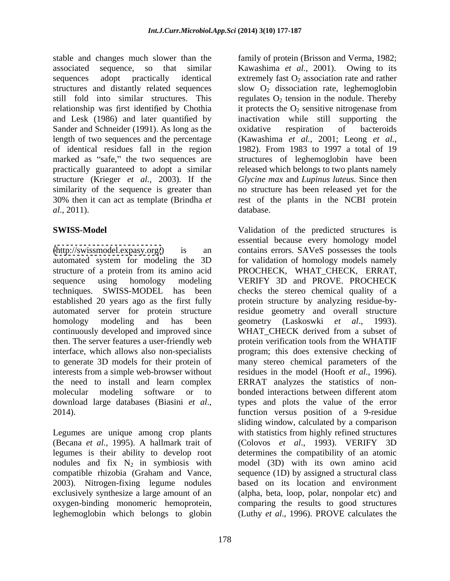stable and changes much slower than the family of protein (Brisson and Verma, 1982; associated sequence, so that similar Kawashima *et al.,* 2001). Owing to its sequences adopt practically identical extremely fast  $O_2$  association rate and rather structures and distantly related sequences slow  $O_2$  dissociation rate, leghemoglobin still fold into similar structures. This regulates  $O_2$  tension in the nodule. Thereby relationship was first identified by Chothia it protects the  $O_2$  sensitive nitrogenese from and Lesk (1986) and later quantified by inactivation while still supporting the Sander and Schneider (1991). As long as the oxidative respiration of bacteroids length of two sequences and the percentage (Kawashima *et al.,* 2001; Leong *et al.,* of identical residues fall in the region 1982). From 1983 to 1997 a total of 19 marked as "safe," the two sequences are practically guaranteed to adopt a similar released which belongs to two plants namely structure (Krieger *et al.,* 2003). If the *Glycine max* and *Lupinus luteus.* Since then similarity of the sequence is greater than no structure has been released yet for the 30% then it can act as template (Brindha *et*  rest of the plants in the NCBI protein *al*., 2011).

[\(http://swissmodel.expasy.org/](http://swissmodel.expasy.org/)) is an contains errors. SAVeS possesses the tools automated system for modeling the 3D for validation of homology models namely structure of a protein from its amino acid PROCHECK, WHAT\_CHECK, ERRAT, sequence using homology modeling VERIFY 3D and PROVE PROCHECK techniques. SWISS-MODEL has been checks the stereo chemical quality of a established 20 years ago as the first fully protein structure by analyzing residue-byautomated server for protein structure residue geometry and overall structure homology modeling and has been geometry (Laskoswki et al., 1993). continuously developed and improved since WHAT\_CHECK derived from a subset of then. The server features a user-friendly web protein verification tools from the WHATIF interface, which allows also non-specialists program; this does extensive checking of to generate 3D models for their protein of many stereo chemical parameters of the interests from a simple web-browser without residues in the model (Hooft *et al.*, 1996). the need to install and learn complex ERRAT analyzes the statistics of nonmolecular modeling software or to download large databases (Biasini *et al*., 2014).

Legumes are unique among crop plants (Becana *et al.,* 1995). A hallmark trait of compatible rhizobia (Graham and Vance, 2003). Nitrogen-fixing legume nodules oxygen-binding monomeric hemoprotein,

it protects the  $O_2$  sensitive nitrogenase from oxidative respiration of bacteroids structures of leghemoglobin have been database.

**SWISS-Model**  Validation of the predicted structures is legumes is their ability to develop root determines the compatibility of an atomic nodules and fix  $N_2$  in symbiosis with model (3D) with its own amino acid exclusively synthesize a large amount of an (alpha, beta, loop, polar, nonpolar etc) and leghemoglobin which belongs to globin (Luthy *et al*., 1996). PROVE calculates theessential because every homology model VERIFY 3D and PROVE. PROCHECK geometry (Laskoswki *et al*., 1993). residues in the model (Hooft *et al.*, 1996).<br>ERRAT analyzes the statistics of nonbonded interactions between different atom types and plots the value of the error function versus position of a 9-residue sliding window, calculated by a comparison with statistics from highly refined structures (Colovos *et al.*, 1993). VERIFY sequence (1D) by assigned a structural class based on its location and environment comparing the results to good structures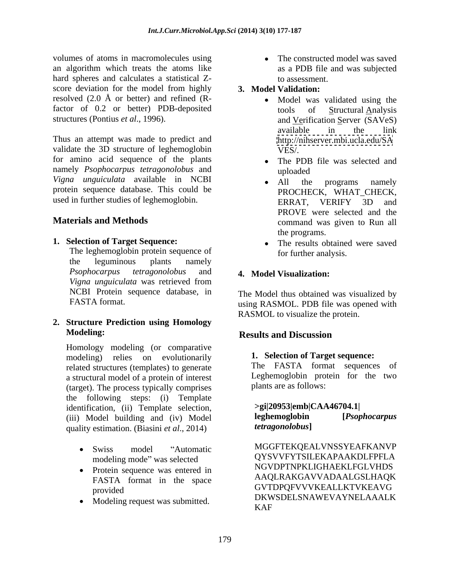volumes of atoms in macromolecules using an algorithm which treats the atoms like hard spheres and calculates a statistical Z-<br>to assessment. score deviation for the model from highly resolved  $(2.0 \text{ Å} \text{ or better})$  and refined  $(R$ factor of 0.2 or better) PDB-deposited tools of Structural Analysis structures (Pontius *et al*., 1996). and Verification Server (SAVeS)

Thus an attempt was made to predict and  $http://nihserver.mbi.ucla.edu/SA)$ validate the 3D structure of leghemoglobin  $VES$ . for amino acid sequence of the plants  $\bullet$  The PDB file was selected and namely *Psophocarpus tetragonolobus* and *Vigna unguiculata* available in NCBI protein sequence database. This could be used in further studies of leghemoglobin. ERRAT, VERIFY 3D and

**1. Selection of Target Sequence:**

The leghemoglobin protein sequence of the leguminous plants namely *Psophocarpus tetragonolobus* and *Vigna unguiculata* was retrieved from

**2. Structure Prediction using Homology Modeling:** Results and Discussion

Homology modeling (or comparative modeling) relies on evolutionarily **1. Selection of Target sequence:** related structures (templates) to generate a structural model of a protein of interest (target). The process typically comprises the following steps: (i) Template identification, (ii) Template selection, (iii) Model building and (iv) Model quality estimation. (Biasini *et al*., 2014)

- 
- 
- 

• The constructed model was saved as a PDB file and was subjected to assessment.

## **3. Model Validation:**

- Model was validated using the tools of <u>S</u>tructural Analysis available in the link <http://nihserver.mbi.ucla.edu/SA> VES/.
- The PDB file was selected and uploaded
- **Materials and Methods Command was given to Run all** command was given to Run all All the programs namely PROCHECK, WHAT CHECK, ERRAT, VERIFY 3D and PROVE were selected and the the programs.
	- The results obtained were saved for further analysis.

### **4. Model Visualization:**

NCBI Protein sequence database, in The Model thus obtained was visualized by FASTA format. The using RASMOL. PDB file was opened with RASMOL to visualize the protein.

# **Results and Discussion**

### **1. Selection of Target sequence:**

The FASTA format sequences of Leghemoglobin protein for the two plants are as follows:

| $>$ gi 20953 emb CAA46704.1 |               |  |  |  |
|-----------------------------|---------------|--|--|--|
| leghemoglobin               | IPsophocarpus |  |  |  |
| <i>tetragonolobus</i>       |               |  |  |  |

Swiss model "Automatic MGGFTEKQEALVNSSYEAFKANVP modeling mode" was selected QYSVVFYTSILEKAPAAKDLFPFLA • Protein sequence was entered in MOVDPTNPKLIGHAEKLFGLVHDS<br>EASTA format in the space AAQLRAKGAVVADAALGSLHAQK FASTA format in the space  $AAQLKANUAVYADAALUSLHAVK$ provided CVIDPUF VVVKEALLKIVKEAVU • Modeling request was submitted. DKWSDELSNAWEVAYNELAAALK QYSVVFYTSILEKAPAAKDLFPFLA NGVDPTNPKLIGHAEKLFGLVHDS AAQLRAKGAVVADAALGSLHAQK GVTDPQFVVVKEALLKTVKEAVG DKWSDELSNAWEVAYNELAAALK KAF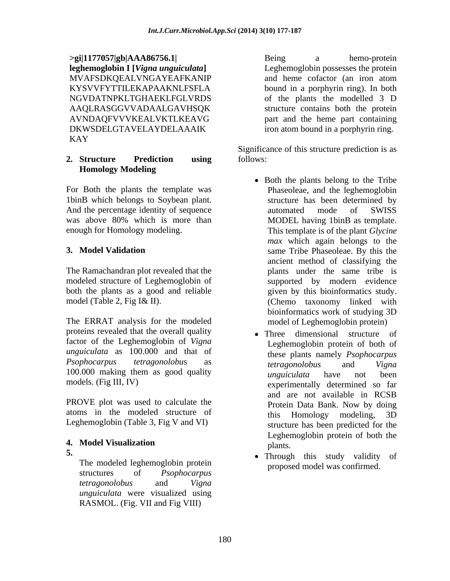**>gi|1177057|gb|AAA86756.1| leghemoglobin I [***Vigna unguiculata***]** Leghemoglobin possesses the protein MVAFSDKOEALVNGAYEAFKANIP and heme cofactor (an iron atom KYSVVFYTTILEKAPAAKNLFSFLA bound in a porphyrin ring). In both NGVDATNPKLTGHAEKLFGLVRDS of the plants the modelled 3 D AAQLRASGGVVADAALGAVHSQK AVNDAQFVVVKEALVKTLKEAVG part and the heme part containing DKWSDELGTAVELAYDELAAAIK iron atom bound in a porphyrin ring. KAY

# **Homology Modeling**

For Both the plants the template was 1binB which belongs to Soybean plant. And the percentage identity of sequence automated mode of SWISS was above 80% which is more than MODEL having 1 bin B as template. enough for Homology modeling. This template is of the plant *Glycine* 

The Ramachandran plot revealed that the modeled structure of Leghemoglobin of both the plants as a good and reliable

The ERRAT analysis for the modeled proteins revealed that the overall quality factor of the Leghemoglobin of *Vigna unguiculata* as 100.000 and that of *Psophocarpus tetragonolobu*s as 100.000 making them as good quality  $\frac{100,000}{\pi}$  maximum have not been

PROVE plot was used to calculate the **Protein Data Bank**. Now by doing atoms in the modeled structure of this Homology modeling, 3D Leghemoglobin (Table 3, Fig V and VI)

The modeled leghemoglobin protein structures of *Psophocarpus tetragonolobus* and *Vigna unguiculata* were visualized using RASMOL. (Fig. VII and Fig VIII)

Being a hemo-protein and heme cofactor (an iron atom bound in a porphyrin ring). In both of the plants the modelled 3 D structure contains both the protein part and the heme part containing iron atom bound in a porphyrin ring.

**2. Structure Prediction using** Significance of this structure prediction is as follows:

- **3. Model Validation** same Tribe Phaseoleae. By this the model (Table 2, Fig I& II). (Chemo taxonomy linked with • Both the plants belong to the Tribe Phaseoleae, and the leghemoglobin structure has been determined by automated mode of SWISS MODEL having 1binB as template. *max* which again belongs to the ancient method of classifying the plants under the same tribe is supported by modern evidence given by this bioinformatics study. bioinformatics work of studying 3D model of Leghemoglobin protein)
- models. (Fig III, IV) experimentally determined so far **4. Model Visualization** • Three dimensional structure of Leghemoglobin protein of both of these plants namely *Psophocarpus tetragonolobus* and *Vigna unguiculata* have not been and are not available in RCSB Protein Data Bank. Now by doing this Homology modeling, 3D structure has been predicted for the Leghemoglobin protein of both the plants.
- **5.** Through this study validity of proposed model was confirmed.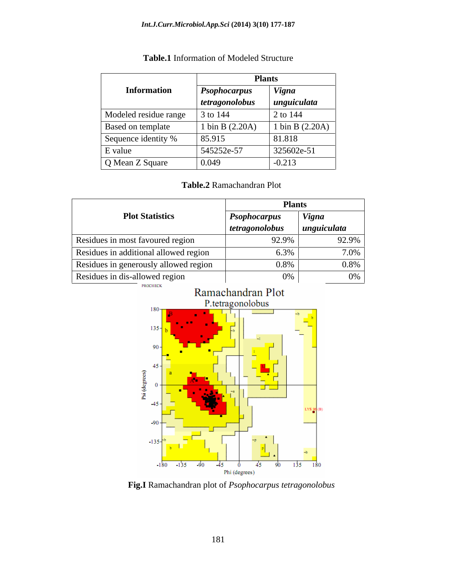|                       | <b>Plants</b>        |                   |
|-----------------------|----------------------|-------------------|
| <b>Information</b>    | <b>Psophocarpus</b>  | <b>Vigna</b>      |
|                       | tetragonolobus       | unguiculata       |
| Modeled residue range | $\frac{1}{3}$ to 144 | 2 to 144          |
| Based on template     | 1 bin B $(2.20A)$    | 1 bin B $(2.20A)$ |
| Sequence identity %   | 85.915               | 81.818            |
| E value               | 545252e-57           | 325602e-51        |
| Q Mean Z Square       | 0.049                | $-0.213$          |

# **Table.1** Information of Modeled Structure

# **Table.2** Ramachandran Plot

|                                       | Plant                                        |              |
|---------------------------------------|----------------------------------------------|--------------|
| <b>Plot Statistics</b>                | <i>Psophocarpus</i>                          | <i>Vigna</i> |
|                                       | $\left $ tetragonolobus $\left $ unguiculata |              |
| Residues in most favoured region      | 92.9%                                        | 92.9%        |
| Residues in additional allowed region | 6.3%                                         |              |
| Residues in generously allowed region | በ  የ%                                        | 0.8%         |
| Residues in dis-allowed region        |                                              |              |



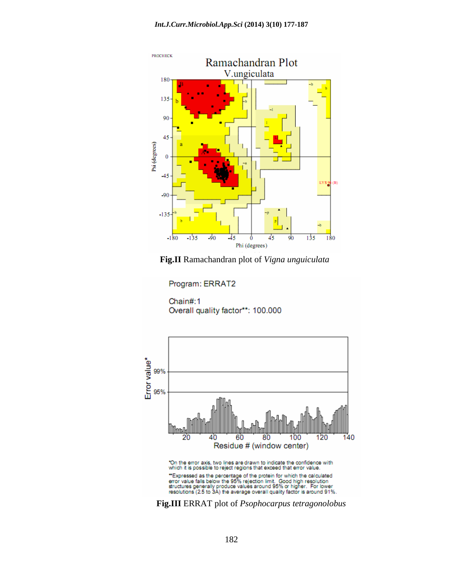

**Fig.II** Ramachandran plot of *Vigna unguiculata*

Program: ERRAT2

Chain#:1 Overall quality factor\*\*: 100.000

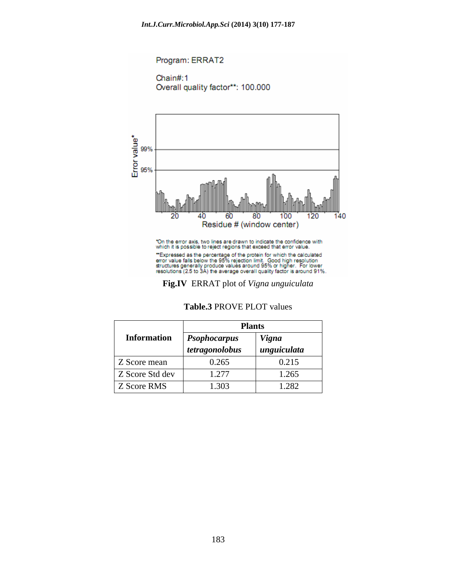

| Table.3 PROVE<br>$E$ PLOT<br>values |  |  |
|-------------------------------------|--|--|
|-------------------------------------|--|--|

|                    |                     | <b>Plants</b> |  |
|--------------------|---------------------|---------------|--|
| <b>Information</b> | <b>Psophocarpus</b> | <b>Vigna</b>  |  |
|                    | tetragonolobus      | unguiculata   |  |
| Z Score mean       | 0.265               | 0.215         |  |
| Z Score Std dev    | 1.277               | 1.265         |  |
| Z Score RMS        | 1.303               | 1.282         |  |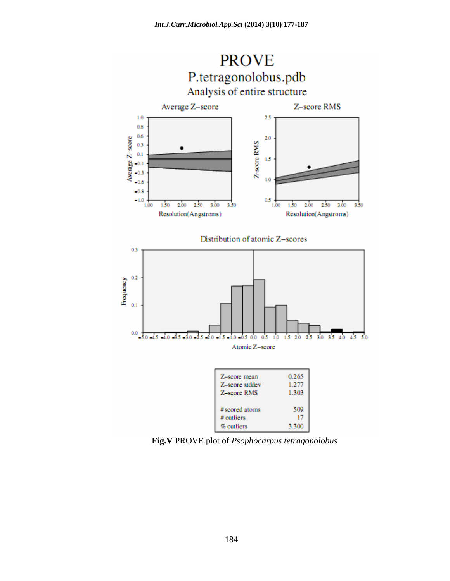

**Fig.V** PROVE plot of *Psophocarpus tetragonolobus*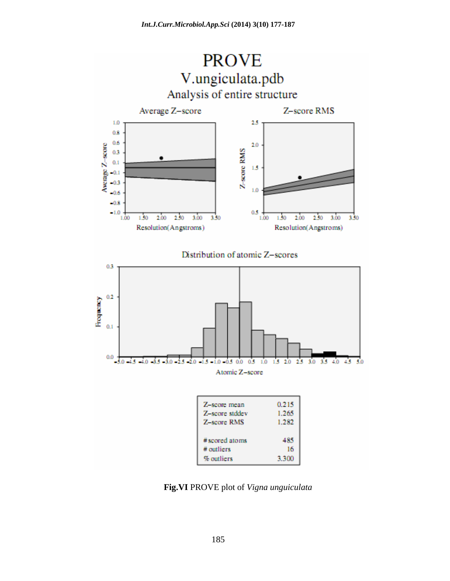

**Fig.VI** PROVE plot of *Vigna unguiculata*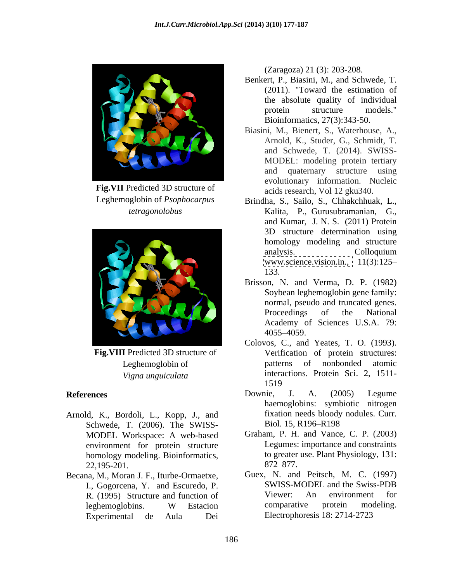

**Fig.VII** Predicted 3D structure of



- Arnold, K., Bordoli, L., Kopp, J., and fixation needs bloody<br>Schwede T. (2006). The SWISS- Biol. 15, R196–R198 Schwede, T. (2006). The SWISS- MODEL Workspace: A web-based environment for protein structure homology modeling. Bioinformatics, to greater<br>22.195-201. 872-877.  $22,195-201.$  872–877.
- Becana, M., Moran J. F., Iturbe-Ormaetxe, I., Gogorcena, Y. and Escuredo, P. SWISS-MODEL and the Swiss<br>R. (1995). Structure and function of Viewer: An environment Experimental de Aula Dei Blectrophoresis 18: 2714-2723

(Zaragoza) 21 (3): 203-208.

- Benkert, P., Biasini, M., and Schwede, T. (2011). "Toward the estimation of the absolute quality of individual protein structure models."<br>Bioinformatics, 27(3):343-50.
- Biasini, M., Bienert, S., Waterhouse, A., Arnold, K., Studer, G., Schmidt, T. and Schwede, T. (2014). SWISS- MODEL: modeling protein tertiary and quaternary structure using evolutionary information. Nucleic acids research, Vol 12 gku340.
- Leghemoglobin of *Psophocarpus*  Brindha, S., Sailo, S., Chhakchhuak, L., *tetragonolobus* Kalita, P., Gurusubramanian, G., and Kumar, J. N. S. (2011) Protein 3D structure determination using homology modeling and structure analysis. Colloquium [www.science.vision.in.,](http://www.science.vision.in.) 11(3):125 133.
	- Brisson, N. and Verma, D. P. (1982) Soybean leghemoglobin gene family: normal, pseudo and truncated genes. Proceedings of the National Academy of Sciences U.S.A. 79: 4055 4059.
- **Fig. VIII** Predicted 3D structure of Verification of protein structures: Leghemoglobin of patterns of nonbonded atomic *Vigna unguiculata* interactions. Protein Sci. 2, 1511- Colovos, C., and Yeates, T. O. (1993). 1519
- References **Exercise Exercise Contract COVID**ownie, J. A. (2005) Legume Downie, J. A. (2005) Legume haemoglobins: symbiotic nitrogen fixation needs bloody nodules. Curr. Biol. 15, R196–R198
	- Graham, P. H. and Vance, C. P. (2003) Legumes: importance and constraints to greater use. Plant Physiology, 131: 872–877.
	- R. (1995) Structure and function of Viewer: An environment for leghemoglobins. W Estacion comparative protein modeling. leghemoglobins. W Estacion comparative protein modeling. Guex, N. and Peitsch, M. C. (1997) SWISS-MODEL and the Swiss-PDB Viewer: An environment for comparative protein modeling. Electrophoresis 18: 2714-2723